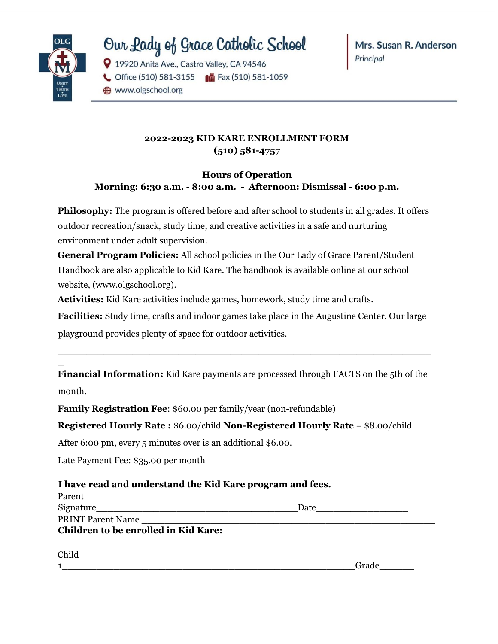

# Our Lady of Grace Catholic School

9 19920 Anita Ave., Castro Valley, CA 94546

Office (510) 581-3155 | G Fax (510) 581-1059

www.olgschool.org

### **2022-2023 KID KARE ENROLLMENT FORM (510) 581-4757**

### **Hours of Operation Morning: 6:30 a.m. - 8:00 a.m. - Afternoon: Dismissal - 6:00 p.m.**

**Philosophy:** The program is offered before and after school to students in all grades. It offers outdoor recreation/snack, study time, and creative activities in a safe and nurturing environment under adult supervision.

**General Program Policies:** All school policies in the Our Lady of Grace Parent/Student Handbook are also applicable to Kid Kare. The handbook is available online at our school website, (www.olgschool.org).

**Activities:** Kid Kare activities include games, homework, study time and crafts.

**Facilities:** Study time, crafts and indoor games take place in the Augustine Center. Our large playground provides plenty of space for outdoor activities.

 $\_$  , and the set of the set of the set of the set of the set of the set of the set of the set of the set of the set of the set of the set of the set of the set of the set of the set of the set of the set of the set of th

\_ **Financial Information:** Kid Kare payments are processed through FACTS on the 5th of the

month.

**Family Registration Fee**: \$60.00 per family/year (non-refundable)

#### **Registered Hourly Rate :** \$6.00/child **Non-Registered Hourly Rate** = \$8.00/child

After 6:00 pm, every 5 minutes over is an additional \$6.00.

Late Payment Fee: \$35.00 per month

## **I have read and understand the Kid Kare program and fees.**

| Parent                               |      |
|--------------------------------------|------|
| Signature                            | Date |
| <b>PRINT Parent Name</b>             |      |
| Children to be enrolled in Kid Kare: |      |
|                                      |      |

Child

1\_\_\_\_\_\_\_\_\_\_\_\_\_\_\_\_\_\_\_\_\_\_\_\_\_\_\_\_\_\_\_\_\_\_\_\_\_\_\_\_\_\_\_\_\_\_\_\_\_\_\_Grade\_\_\_\_\_\_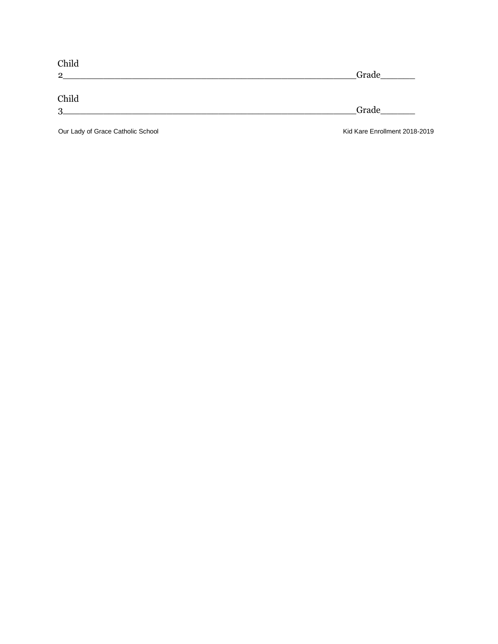| Child          |       |  |
|----------------|-------|--|
| $\mathbf{2}$   | Grade |  |
| Child          |       |  |
| $\overline{3}$ | Grade |  |
|                |       |  |

Our Lady of Grace Catholic School **Catholic School** Kid Kare Enrollment 2018-2019